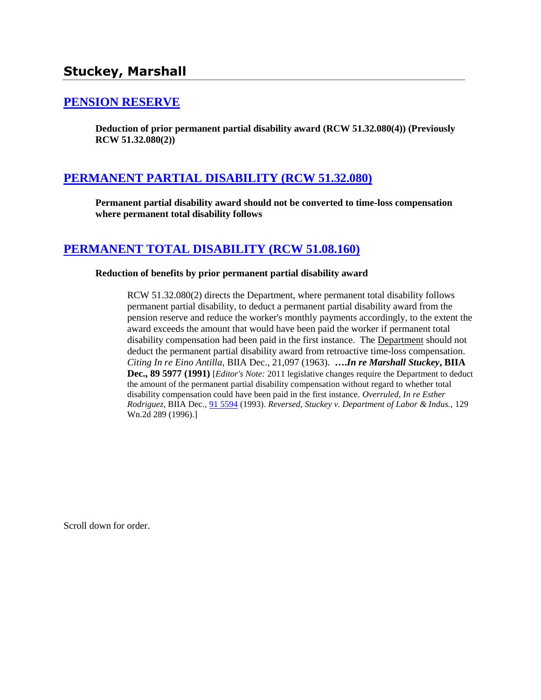# **Stuckey, Marshall**

## **[PENSION RESERVE](http://www.biia.wa.gov/SDSubjectIndex.html#PENSION_RESERVE)**

**Deduction of prior permanent partial disability award (RCW 51.32.080(4)) (Previously RCW 51.32.080(2))**

## **[PERMANENT PARTIAL DISABILITY \(RCW 51.32.080\)](http://www.biia.wa.gov/SDSubjectIndex.html#PERMANENT_PARTIAL_DISABILITY)**

**Permanent partial disability award should not be converted to time-loss compensation where permanent total disability follows**

## **[PERMANENT TOTAL DISABILITY \(RCW 51.08.160\)](http://www.biia.wa.gov/SDSubjectIndex.html#PERMANENT_TOTAL_DISABILITY)**

#### **Reduction of benefits by prior permanent partial disability award**

RCW 51.32.080(2) directs the Department, where permanent total disability follows permanent partial disability, to deduct a permanent partial disability award from the pension reserve and reduce the worker's monthly payments accordingly, to the extent the award exceeds the amount that would have been paid the worker if permanent total disability compensation had been paid in the first instance. The Department should not deduct the permanent partial disability award from retroactive time-loss compensation. *Citing In re Eino Antilla*, BIIA Dec., 21,097 (1963). **….***In re Marshall Stuckey***, BIIA Dec., 89 5977 (1991)** [*Editor's Note:* 2011 legislative changes require the Department to deduct the amount of the permanent partial disability compensation without regard to whether total disability compensation could have been paid in the first instance. *Overruled*, *In re Esther Rodriguez*, BIIA Dec., [91 5594](http://www.biia.wa.gov/significantdecisions/915594.htm) (1993). *Reversed, Stuckey v. Department of Labor & Indus.,* 129 Wn.2d 289 (1996).]

Scroll down for order.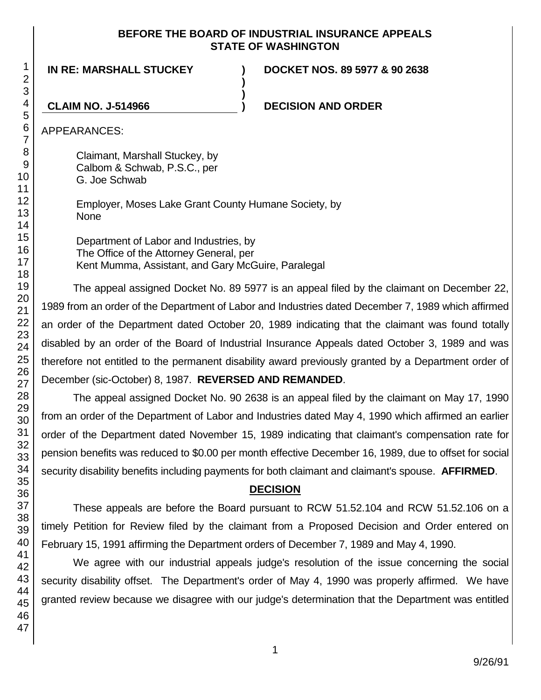#### **BEFORE THE BOARD OF INDUSTRIAL INSURANCE APPEALS STATE OF WASHINGTON**

**)**

**)**

**IN RE: MARSHALL STUCKEY )**

**DOCKET NOS. 89 5977 & 90 2638**

**CLAIM NO. J-514966 ) DECISION AND ORDER**

APPEARANCES:

Claimant, Marshall Stuckey, by Calbom & Schwab, P.S.C., per G. Joe Schwab

Employer, Moses Lake Grant County Humane Society, by None

Department of Labor and Industries, by The Office of the Attorney General, per Kent Mumma, Assistant, and Gary McGuire, Paralegal

The appeal assigned Docket No. 89 5977 is an appeal filed by the claimant on December 22, 1989 from an order of the Department of Labor and Industries dated December 7, 1989 which affirmed an order of the Department dated October 20, 1989 indicating that the claimant was found totally disabled by an order of the Board of Industrial Insurance Appeals dated October 3, 1989 and was therefore not entitled to the permanent disability award previously granted by a Department order of December (sic-October) 8, 1987. **REVERSED AND REMANDED**.

The appeal assigned Docket No. 90 2638 is an appeal filed by the claimant on May 17, 1990 from an order of the Department of Labor and Industries dated May 4, 1990 which affirmed an earlier order of the Department dated November 15, 1989 indicating that claimant's compensation rate for pension benefits was reduced to \$0.00 per month effective December 16, 1989, due to offset for social security disability benefits including payments for both claimant and claimant's spouse. **AFFIRMED**.

## **DECISION**

These appeals are before the Board pursuant to RCW 51.52.104 and RCW 51.52.106 on a timely Petition for Review filed by the claimant from a Proposed Decision and Order entered on February 15, 1991 affirming the Department orders of December 7, 1989 and May 4, 1990.

We agree with our industrial appeals judge's resolution of the issue concerning the social security disability offset. The Department's order of May 4, 1990 was properly affirmed. We have granted review because we disagree with our judge's determination that the Department was entitled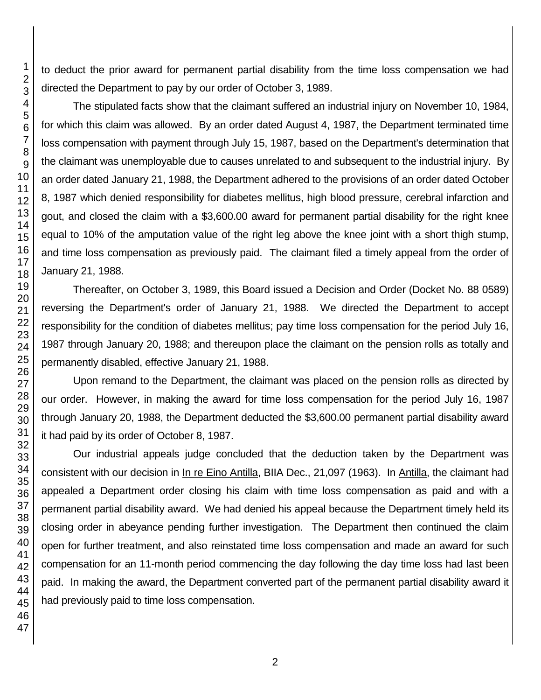to deduct the prior award for permanent partial disability from the time loss compensation we had directed the Department to pay by our order of October 3, 1989.

The stipulated facts show that the claimant suffered an industrial injury on November 10, 1984, for which this claim was allowed. By an order dated August 4, 1987, the Department terminated time loss compensation with payment through July 15, 1987, based on the Department's determination that the claimant was unemployable due to causes unrelated to and subsequent to the industrial injury. By an order dated January 21, 1988, the Department adhered to the provisions of an order dated October 8, 1987 which denied responsibility for diabetes mellitus, high blood pressure, cerebral infarction and gout, and closed the claim with a \$3,600.00 award for permanent partial disability for the right knee equal to 10% of the amputation value of the right leg above the knee joint with a short thigh stump, and time loss compensation as previously paid. The claimant filed a timely appeal from the order of January 21, 1988.

Thereafter, on October 3, 1989, this Board issued a Decision and Order (Docket No. 88 0589) reversing the Department's order of January 21, 1988. We directed the Department to accept responsibility for the condition of diabetes mellitus; pay time loss compensation for the period July 16, 1987 through January 20, 1988; and thereupon place the claimant on the pension rolls as totally and permanently disabled, effective January 21, 1988.

Upon remand to the Department, the claimant was placed on the pension rolls as directed by our order. However, in making the award for time loss compensation for the period July 16, 1987 through January 20, 1988, the Department deducted the \$3,600.00 permanent partial disability award it had paid by its order of October 8, 1987.

Our industrial appeals judge concluded that the deduction taken by the Department was consistent with our decision in In re Eino Antilla, BIIA Dec., 21,097 (1963). In Antilla, the claimant had appealed a Department order closing his claim with time loss compensation as paid and with a permanent partial disability award. We had denied his appeal because the Department timely held its closing order in abeyance pending further investigation. The Department then continued the claim open for further treatment, and also reinstated time loss compensation and made an award for such compensation for an 11-month period commencing the day following the day time loss had last been paid. In making the award, the Department converted part of the permanent partial disability award it had previously paid to time loss compensation.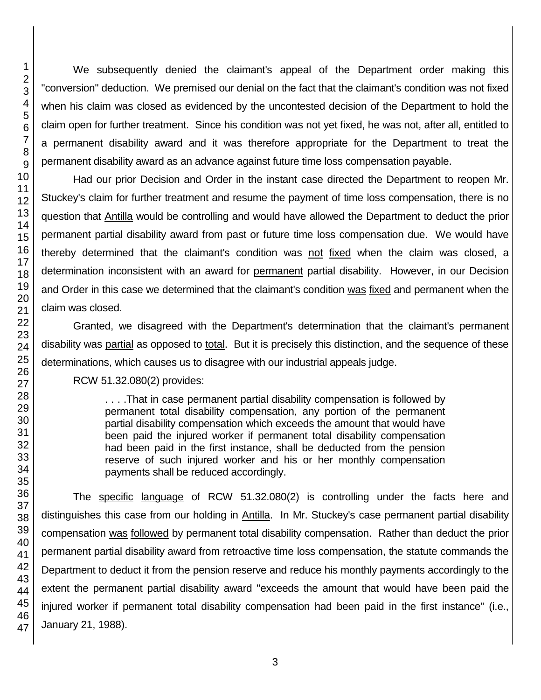47

We subsequently denied the claimant's appeal of the Department order making this "conversion" deduction. We premised our denial on the fact that the claimant's condition was not fixed when his claim was closed as evidenced by the uncontested decision of the Department to hold the claim open for further treatment. Since his condition was not yet fixed, he was not, after all, entitled to a permanent disability award and it was therefore appropriate for the Department to treat the permanent disability award as an advance against future time loss compensation payable.

Had our prior Decision and Order in the instant case directed the Department to reopen Mr. Stuckey's claim for further treatment and resume the payment of time loss compensation, there is no question that Antilla would be controlling and would have allowed the Department to deduct the prior permanent partial disability award from past or future time loss compensation due. We would have thereby determined that the claimant's condition was not fixed when the claim was closed, a determination inconsistent with an award for permanent partial disability. However, in our Decision and Order in this case we determined that the claimant's condition was fixed and permanent when the claim was closed.

Granted, we disagreed with the Department's determination that the claimant's permanent disability was partial as opposed to total. But it is precisely this distinction, and the sequence of these determinations, which causes us to disagree with our industrial appeals judge.

RCW 51.32.080(2) provides:

. . . .That in case permanent partial disability compensation is followed by permanent total disability compensation, any portion of the permanent partial disability compensation which exceeds the amount that would have been paid the injured worker if permanent total disability compensation had been paid in the first instance, shall be deducted from the pension reserve of such injured worker and his or her monthly compensation payments shall be reduced accordingly.

The specific language of RCW 51.32.080(2) is controlling under the facts here and distinguishes this case from our holding in Antilla. In Mr. Stuckey's case permanent partial disability compensation was followed by permanent total disability compensation. Rather than deduct the prior permanent partial disability award from retroactive time loss compensation, the statute commands the Department to deduct it from the pension reserve and reduce his monthly payments accordingly to the extent the permanent partial disability award "exceeds the amount that would have been paid the injured worker if permanent total disability compensation had been paid in the first instance" (i.e., January 21, 1988).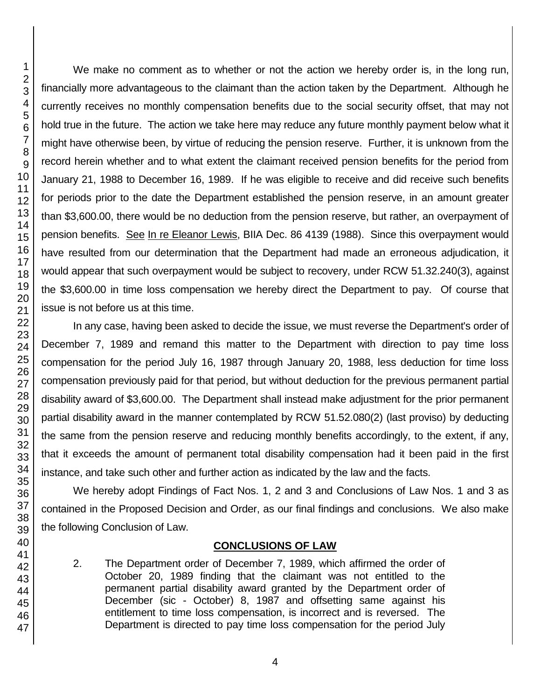We make no comment as to whether or not the action we hereby order is, in the long run, financially more advantageous to the claimant than the action taken by the Department. Although he currently receives no monthly compensation benefits due to the social security offset, that may not hold true in the future. The action we take here may reduce any future monthly payment below what it might have otherwise been, by virtue of reducing the pension reserve. Further, it is unknown from the record herein whether and to what extent the claimant received pension benefits for the period from January 21, 1988 to December 16, 1989. If he was eligible to receive and did receive such benefits for periods prior to the date the Department established the pension reserve, in an amount greater than \$3,600.00, there would be no deduction from the pension reserve, but rather, an overpayment of pension benefits. See In re Eleanor Lewis, BIIA Dec. 86 4139 (1988). Since this overpayment would have resulted from our determination that the Department had made an erroneous adjudication, it would appear that such overpayment would be subject to recovery, under RCW 51.32.240(3), against the \$3,600.00 in time loss compensation we hereby direct the Department to pay. Of course that issue is not before us at this time.

In any case, having been asked to decide the issue, we must reverse the Department's order of December 7, 1989 and remand this matter to the Department with direction to pay time loss compensation for the period July 16, 1987 through January 20, 1988, less deduction for time loss compensation previously paid for that period, but without deduction for the previous permanent partial disability award of \$3,600.00. The Department shall instead make adjustment for the prior permanent partial disability award in the manner contemplated by RCW 51.52.080(2) (last proviso) by deducting the same from the pension reserve and reducing monthly benefits accordingly, to the extent, if any, that it exceeds the amount of permanent total disability compensation had it been paid in the first instance, and take such other and further action as indicated by the law and the facts.

We hereby adopt Findings of Fact Nos. 1, 2 and 3 and Conclusions of Law Nos. 1 and 3 as contained in the Proposed Decision and Order, as our final findings and conclusions. We also make the following Conclusion of Law.

#### **CONCLUSIONS OF LAW**

2. The Department order of December 7, 1989, which affirmed the order of October 20, 1989 finding that the claimant was not entitled to the permanent partial disability award granted by the Department order of December (sic - October) 8, 1987 and offsetting same against his entitlement to time loss compensation, is incorrect and is reversed. The Department is directed to pay time loss compensation for the period July